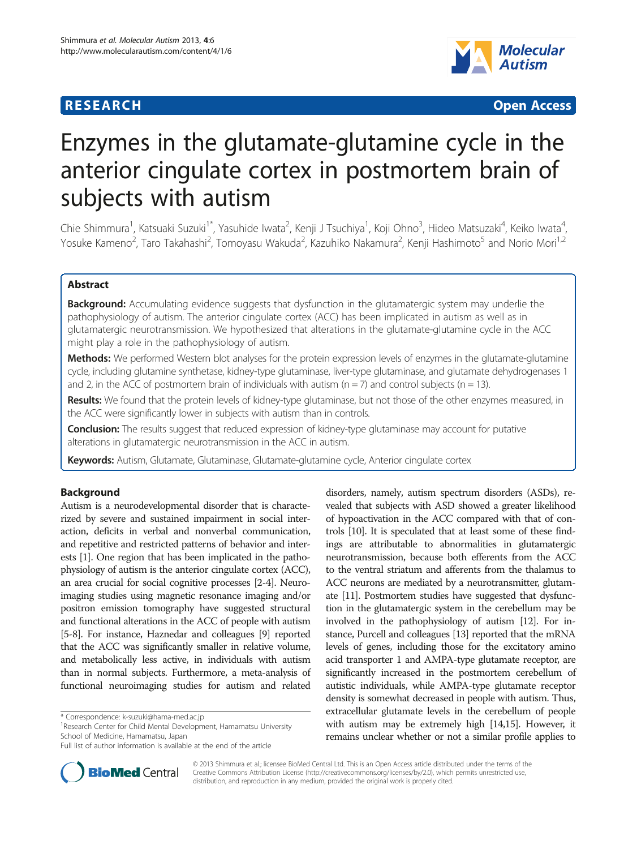



# Enzymes in the glutamate-glutamine cycle in the anterior cingulate cortex in postmortem brain of subjects with autism

Chie Shimmura<sup>1</sup>, Katsuaki Suzuki<sup>1\*</sup>, Yasuhide Iwata<sup>2</sup>, Kenji J Tsuchiya<sup>1</sup>, Koji Ohno<sup>3</sup>, Hideo Matsuzaki<sup>4</sup>, Keiko Iwata<sup>4</sup> , Yosuke Kameno<sup>2</sup>, Taro Takahashi<sup>2</sup>, Tomoyasu Wakuda<sup>2</sup>, Kazuhiko Nakamura<sup>2</sup>, Kenji Hashimoto<sup>5</sup> and Norio Mori<sup>1,2</sup>

# Abstract

**Background:** Accumulating evidence suggests that dysfunction in the glutamatergic system may underlie the pathophysiology of autism. The anterior cingulate cortex (ACC) has been implicated in autism as well as in glutamatergic neurotransmission. We hypothesized that alterations in the glutamate-glutamine cycle in the ACC might play a role in the pathophysiology of autism.

Methods: We performed Western blot analyses for the protein expression levels of enzymes in the glutamate-glutamine cycle, including glutamine synthetase, kidney-type glutaminase, liver-type glutaminase, and glutamate dehydrogenases 1 and 2, in the ACC of postmortem brain of individuals with autism ( $n = 7$ ) and control subjects ( $n = 13$ ).

Results: We found that the protein levels of kidney-type glutaminase, but not those of the other enzymes measured, in the ACC were significantly lower in subjects with autism than in controls.

**Conclusion:** The results suggest that reduced expression of kidney-type glutaminase may account for putative alterations in glutamatergic neurotransmission in the ACC in autism.

Keywords: Autism, Glutamate, Glutaminase, Glutamate-glutamine cycle, Anterior cingulate cortex

# Background

Autism is a neurodevelopmental disorder that is characterized by severe and sustained impairment in social interaction, deficits in verbal and nonverbal communication, and repetitive and restricted patterns of behavior and interests [\[1](#page-6-0)]. One region that has been implicated in the pathophysiology of autism is the anterior cingulate cortex (ACC), an area crucial for social cognitive processes [[2](#page-6-0)-[4](#page-6-0)]. Neuroimaging studies using magnetic resonance imaging and/or positron emission tomography have suggested structural and functional alterations in the ACC of people with autism [[5](#page-6-0)-[8\]](#page-6-0). For instance, Haznedar and colleagues [\[9\]](#page-6-0) reported that the ACC was significantly smaller in relative volume, and metabolically less active, in individuals with autism than in normal subjects. Furthermore, a meta-analysis of functional neuroimaging studies for autism and related

<sup>1</sup> Research Center for Child Mental Development, Hamamatsu University School of Medicine, Hamamatsu, Japan



**BioMed** Central

© 2013 Shimmura et al.; licensee BioMed Central Ltd. This is an Open Access article distributed under the terms of the Creative Commons Attribution License (<http://creativecommons.org/licenses/by/2.0>), which permits unrestricted use, distribution, and reproduction in any medium, provided the original work is properly cited.

<sup>\*</sup> Correspondence: [k-suzuki@hama-med.ac.jp](mailto:k-suzuki@hama-med.ac.jp) <sup>1</sup>

Full list of author information is available at the end of the article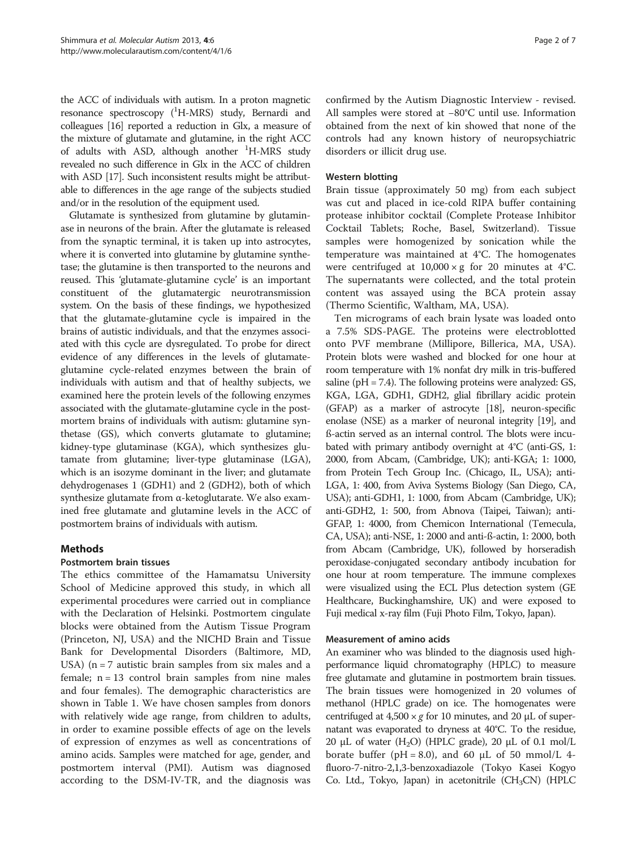the ACC of individuals with autism. In a proton magnetic resonance spectroscopy (<sup>1</sup>H-MRS) study, Bernardi and colleagues [\[16\]](#page-6-0) reported a reduction in Glx, a measure of the mixture of glutamate and glutamine, in the right ACC of adults with ASD, although another <sup>1</sup>H-MRS study revealed no such difference in Glx in the ACC of children with ASD [[17](#page-6-0)]. Such inconsistent results might be attributable to differences in the age range of the subjects studied and/or in the resolution of the equipment used.

Glutamate is synthesized from glutamine by glutaminase in neurons of the brain. After the glutamate is released from the synaptic terminal, it is taken up into astrocytes, where it is converted into glutamine by glutamine synthetase; the glutamine is then transported to the neurons and reused. This 'glutamate-glutamine cycle' is an important constituent of the glutamatergic neurotransmission system. On the basis of these findings, we hypothesized that the glutamate-glutamine cycle is impaired in the brains of autistic individuals, and that the enzymes associated with this cycle are dysregulated. To probe for direct evidence of any differences in the levels of glutamateglutamine cycle-related enzymes between the brain of individuals with autism and that of healthy subjects, we examined here the protein levels of the following enzymes associated with the glutamate-glutamine cycle in the postmortem brains of individuals with autism: glutamine synthetase (GS), which converts glutamate to glutamine; kidney-type glutaminase (KGA), which synthesizes glutamate from glutamine; liver-type glutaminase (LGA), which is an isozyme dominant in the liver; and glutamate dehydrogenases 1 (GDH1) and 2 (GDH2), both of which synthesize glutamate from α-ketoglutarate. We also examined free glutamate and glutamine levels in the ACC of postmortem brains of individuals with autism.

# Methods

# Postmortem brain tissues

The ethics committee of the Hamamatsu University School of Medicine approved this study, in which all experimental procedures were carried out in compliance with the Declaration of Helsinki. Postmortem cingulate blocks were obtained from the Autism Tissue Program (Princeton, NJ, USA) and the NICHD Brain and Tissue Bank for Developmental Disorders (Baltimore, MD, USA)  $(n = 7)$  autistic brain samples from six males and a female;  $n = 13$  control brain samples from nine males and four females). The demographic characteristics are shown in Table [1.](#page-2-0) We have chosen samples from donors with relatively wide age range, from children to adults, in order to examine possible effects of age on the levels of expression of enzymes as well as concentrations of amino acids. Samples were matched for age, gender, and postmortem interval (PMI). Autism was diagnosed according to the DSM-IV-TR, and the diagnosis was

confirmed by the Autism Diagnostic Interview - revised. All samples were stored at −80°C until use. Information obtained from the next of kin showed that none of the controls had any known history of neuropsychiatric disorders or illicit drug use.

# Western blotting

Brain tissue (approximately 50 mg) from each subject was cut and placed in ice-cold RIPA buffer containing protease inhibitor cocktail (Complete Protease Inhibitor Cocktail Tablets; Roche, Basel, Switzerland). Tissue samples were homogenized by sonication while the temperature was maintained at 4°C. The homogenates were centrifuged at  $10,000 \times g$  for 20 minutes at 4°C. The supernatants were collected, and the total protein content was assayed using the BCA protein assay (Thermo Scientific, Waltham, MA, USA).

Ten micrograms of each brain lysate was loaded onto a 7.5% SDS-PAGE. The proteins were electroblotted onto PVF membrane (Millipore, Billerica, MA, USA). Protein blots were washed and blocked for one hour at room temperature with 1% nonfat dry milk in tris-buffered saline (pH = 7.4). The following proteins were analyzed: GS, KGA, LGA, GDH1, GDH2, glial fibrillary acidic protein (GFAP) as a marker of astrocyte [\[18\]](#page-6-0), neuron-specific enolase (NSE) as a marker of neuronal integrity [[19](#page-6-0)], and ß-actin served as an internal control. The blots were incubated with primary antibody overnight at 4°C (anti-GS, 1: 2000, from Abcam, (Cambridge, UK); anti-KGA; 1: 1000, from Protein Tech Group Inc. (Chicago, IL, USA); anti-LGA, 1: 400, from Aviva Systems Biology (San Diego, CA, USA); anti-GDH1, 1: 1000, from Abcam (Cambridge, UK); anti-GDH2, 1: 500, from Abnova (Taipei, Taiwan); anti-GFAP, 1: 4000, from Chemicon International (Temecula, CA, USA); anti-NSE, 1: 2000 and anti-ß-actin, 1: 2000, both from Abcam (Cambridge, UK), followed by horseradish peroxidase-conjugated secondary antibody incubation for one hour at room temperature. The immune complexes were visualized using the ECL Plus detection system (GE Healthcare, Buckinghamshire, UK) and were exposed to Fuji medical x-ray film (Fuji Photo Film, Tokyo, Japan).

# Measurement of amino acids

An examiner who was blinded to the diagnosis used highperformance liquid chromatography (HPLC) to measure free glutamate and glutamine in postmortem brain tissues. The brain tissues were homogenized in 20 volumes of methanol (HPLC grade) on ice. The homogenates were centrifuged at  $4,500 \times g$  for 10 minutes, and 20  $\mu$ L of supernatant was evaporated to dryness at 40°C. To the residue, 20 μL of water  $(H_2O)$  (HPLC grade), 20 μL of 0.1 mol/L borate buffer ( $pH = 8.0$ ), and 60  $\mu$ L of 50 mmol/L 4fluoro-7-nitro-2,1,3-benzoxadiazole (Tokyo Kasei Kogyo Co. Ltd., Tokyo, Japan) in acetonitrile  $(CH_3CN)$  (HPLC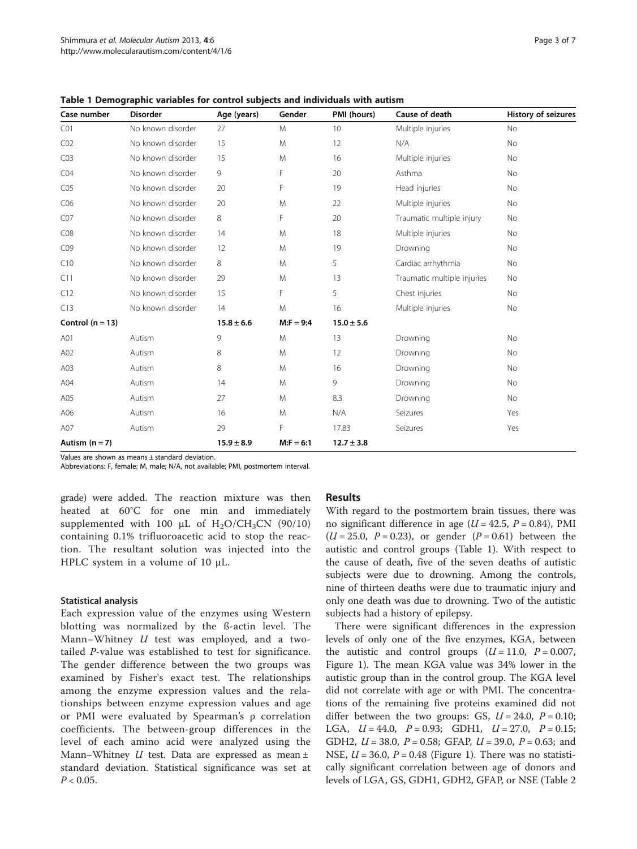| Case number        | <b>Disorder</b>   | Age (years)    | Gender       | PMI (hours)     | Cause of death              | <b>History of seizures</b> |  |  |
|--------------------|-------------------|----------------|--------------|-----------------|-----------------------------|----------------------------|--|--|
| CO1                | No known disorder | 27             | M            | 10              | Multiple injuries           | <b>No</b>                  |  |  |
| CO <sub>2</sub>    | No known disorder | 15             | M            | 12              | N/A                         | <b>No</b>                  |  |  |
| CO <sub>3</sub>    | No known disorder | 15             | M            | 16              | Multiple injuries           | <b>No</b>                  |  |  |
| CO4                | No known disorder | 9              | F            | 20              | Asthma                      | No                         |  |  |
| CO <sub>5</sub>    | No known disorder | 20             | F            | 19              | Head injuries               | No                         |  |  |
| CO6                | No known disorder | 20             | M            | 22              | Multiple injuries           | No                         |  |  |
| CO <sub>7</sub>    | No known disorder | 8              | F            | 20              | Traumatic multiple injury   | <b>No</b>                  |  |  |
| CO8                | No known disorder | 14             | M            | 18              | Multiple injuries           | No                         |  |  |
| CO9                | No known disorder | 12             | M            | 19              | Drowning                    | No                         |  |  |
| C10                | No known disorder | 8              | M            | 5               | Cardiac arrhythmia          | <b>No</b>                  |  |  |
| C11                | No known disorder | 29             | M            | 13              | Traumatic multiple injuries | No                         |  |  |
| C12                | No known disorder | 15             | F            | 5               | Chest injuries              | No                         |  |  |
| C13                | No known disorder | 14             | M            | 16              | Multiple injuries           | No                         |  |  |
| Control $(n = 13)$ |                   | $15.8 \pm 6.6$ | $M:$ F = 9:4 | $15.0 \pm 5.6$  |                             |                            |  |  |
| A01                | Autism            | 9              | M            | 13              | Drowning                    | No                         |  |  |
| A02                | Autism            | 8              | M            | 12              | Drowning                    | <b>No</b>                  |  |  |
| A03                | Autism            | 8              | M            | 16              | Drowning                    | No                         |  |  |
| A04                | Autism            | 14             | M            | 9               | Drowning                    | No                         |  |  |
| A05                | Autism            | 27             | M            | 8.3             | Drowning                    |                            |  |  |
| A06                | Autism            | 16             | M            | N/A<br>Seizures |                             | Yes                        |  |  |
| A07                | Autism            | 29             | F            | 17.83           | Seizures                    | Yes                        |  |  |
| Autism $(n = 7)$   |                   | $15.9 \pm 8.9$ | $M:$ F = 6:1 | $12.7 \pm 3.8$  |                             |                            |  |  |

<span id="page-2-0"></span>Table 1 Demographic variables for control subjects and individuals with autism

Values are shown as means ± standard deviation.

Abbreviations: F, female; M, male; N/A, not available; PMI, postmortem interval.

grade) were added. The reaction mixture was then heated at 60°C for one min and immediately supplemented with 100  $\mu$ L of H<sub>2</sub>O/CH<sub>3</sub>CN (90/10) containing 0.1% trifluoroacetic acid to stop the reaction. The resultant solution was injected into the HPLC system in a volume of 10 μL.

## Statistical analysis

Each expression value of the enzymes using Western blotting was normalized by the ß-actin level. The Mann–Whitney  $U$  test was employed, and a twotailed P-value was established to test for significance. The gender difference between the two groups was examined by Fisher's exact test. The relationships among the enzyme expression values and the relationships between enzyme expression values and age or PMI were evaluated by Spearman's ρ correlation coefficients. The between-group differences in the level of each amino acid were analyzed using the Mann–Whitney  $U$  test. Data are expressed as mean  $\pm$ standard deviation. Statistical significance was set at  $P < 0.05$ .

## Results

With regard to the postmortem brain tissues, there was no significant difference in age ( $U = 42.5$ ,  $P = 0.84$ ), PMI  $(U = 25.0, P = 0.23)$ , or gender  $(P = 0.61)$  between the autistic and control groups (Table 1). With respect to the cause of death, five of the seven deaths of autistic subjects were due to drowning. Among the controls, nine of thirteen deaths were due to traumatic injury and only one death was due to drowning. Two of the autistic subjects had a history of epilepsy.

There were significant differences in the expression levels of only one of the five enzymes, KGA, between the autistic and control groups  $(U = 11.0, P = 0.007,$ Figure [1\)](#page-3-0). The mean KGA value was 34% lower in the autistic group than in the control group. The KGA level did not correlate with age or with PMI. The concentrations of the remaining five proteins examined did not differ between the two groups: GS,  $U = 24.0$ ,  $P = 0.10$ ; LGA,  $U = 44.0$ ,  $P = 0.93$ ; GDH1,  $U = 27.0$ ,  $P = 0.15$ ; GDH2,  $U = 38.0$ ,  $P = 0.58$ ; GFAP,  $U = 39.0$ ,  $P = 0.63$ ; and NSE,  $U = 36.0$ ,  $P = 0.48$  (Figure [1\)](#page-3-0). There was no statistically significant correlation between age of donors and levels of LGA, GS, GDH1, GDH2, GFAP, or NSE (Table [2](#page-3-0)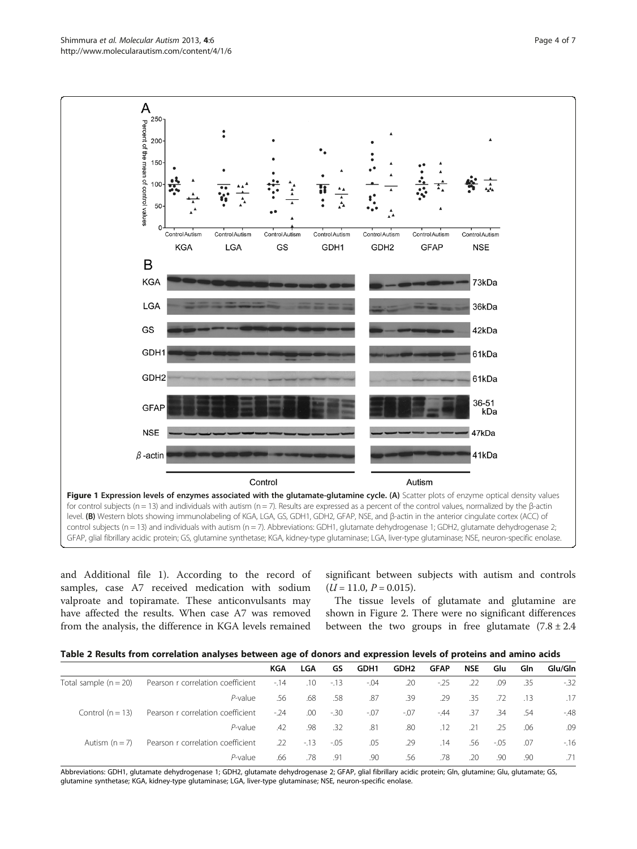<span id="page-3-0"></span>

and Additional file [1\)](#page-5-0). According to the record of samples, case A7 received medication with sodium valproate and topiramate. These anticonvulsants may have affected the results. When case A7 was removed from the analysis, the difference in KGA levels remained

significant between subjects with autism and controls  $(U = 11.0, P = 0.015).$ 

The tissue levels of glutamate and glutamine are shown in Figure [2.](#page-4-0) There were no significant differences between the two groups in free glutamate  $(7.8 \pm 2.4)$ 

| Table 2 Results from correlation analyses between age of donors and expression levels of proteins and amino acids |  |  |  |
|-------------------------------------------------------------------------------------------------------------------|--|--|--|
|                                                                                                                   |  |  |  |

|                         |                                   | KGA   | LGA   | GS      | GDH1   | GDH2    | <b>GFAP</b> | <b>NSE</b> | Glu     | Gln | Glu/Gln |
|-------------------------|-----------------------------------|-------|-------|---------|--------|---------|-------------|------------|---------|-----|---------|
| Total sample $(n = 20)$ | Pearson r correlation coefficient | $-14$ | .10   | $-13$   | $-.04$ | .20     | $-25$       | .22        | .09     | .35 | $-32$   |
|                         | $P$ -value                        | .56   | .68   | .58     | .87    | .39     | .29         | .35        | .72     | .13 | .17     |
| Control $(n = 13)$      | Pearson r correlation coefficient | $-24$ | .00   | $-30$   | $-.07$ | $-0.07$ | $-44$       | .37        | .34     | .54 | $-48$   |
|                         | $P$ -value                        | .42   | .98   | .32     | .81    | .80     | .12         | .21        | -25     | .06 | .09     |
| Autism $(n=7)$          | Pearson r correlation coefficient | .22   | $-13$ | $-0.05$ | .05    | .29     | .14         | .56        | $-0.05$ | .07 | $-16$   |
|                         | $P$ -value                        | .66   | .78   | .91     | .90    | .56     | .78         | .20        | .90     | .90 | .71     |
|                         |                                   |       |       |         |        |         |             |            |         |     |         |

Abbreviations: GDH1, glutamate dehydrogenase 1; GDH2, glutamate dehydrogenase 2; GFAP, glial fibrillary acidic protein; Gln, glutamine; Glu, glutamate; GS, glutamine synthetase; KGA, kidney-type glutaminase; LGA, liver-type glutaminase; NSE, neuron-specific enolase.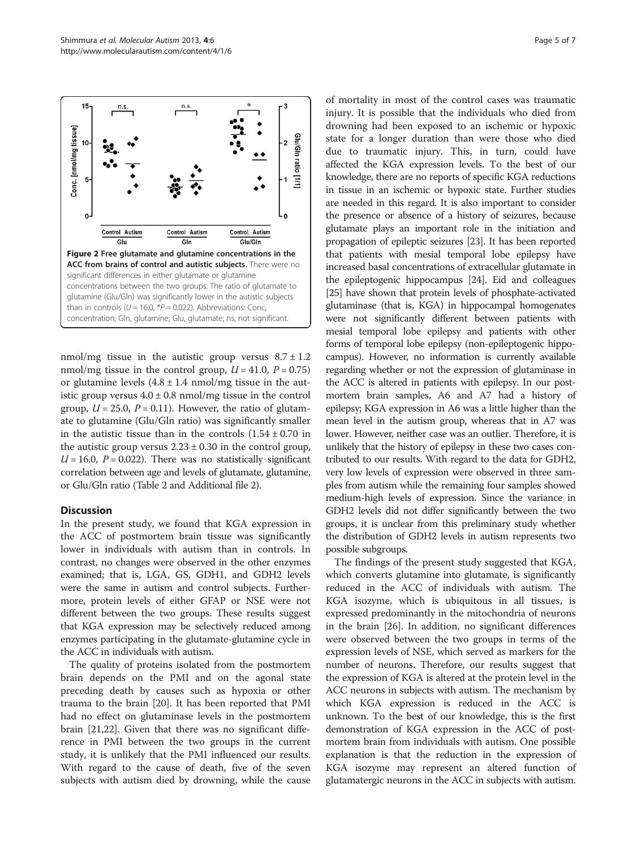<span id="page-4-0"></span>

nmol/mg tissue in the autistic group versus  $8.7 \pm 1.2$ nmol/mg tissue in the control group,  $U = 41.0$ ,  $P = 0.75$ ) or glutamine levels  $(4.8 \pm 1.4 \text{ nmol/mg}$  tissue in the autistic group versus  $4.0 \pm 0.8$  nmol/mg tissue in the control group,  $U = 25.0$ ,  $P = 0.11$ ). However, the ratio of glutamate to glutamine (Glu/Gln ratio) was significantly smaller in the autistic tissue than in the controls  $(1.54 \pm 0.70)$  in the autistic group versus  $2.23 \pm 0.30$  in the control group,  $U = 16.0$ ,  $P = 0.022$ ). There was no statistically significant correlation between age and levels of glutamate, glutamine, or Glu/Gln ratio (Table [2](#page-3-0) and Additional file [2](#page-5-0)).

# **Discussion**

In the present study, we found that KGA expression in the ACC of postmortem brain tissue was significantly lower in individuals with autism than in controls. In contrast, no changes were observed in the other enzymes examined; that is, LGA, GS, GDH1, and GDH2 levels were the same in autism and control subjects. Furthermore, protein levels of either GFAP or NSE were not different between the two groups. These results suggest that KGA expression may be selectively reduced among enzymes participating in the glutamate-glutamine cycle in the ACC in individuals with autism.

The quality of proteins isolated from the postmortem brain depends on the PMI and on the agonal state preceding death by causes such as hypoxia or other trauma to the brain [[20\]](#page-6-0). It has been reported that PMI had no effect on glutaminase levels in the postmortem brain [\[21,22\]](#page-6-0). Given that there was no significant difference in PMI between the two groups in the current study, it is unlikely that the PMI influenced our results. With regard to the cause of death, five of the seven subjects with autism died by drowning, while the cause

of mortality in most of the control cases was traumatic injury. It is possible that the individuals who died from drowning had been exposed to an ischemic or hypoxic state for a longer duration than were those who died due to traumatic injury. This, in turn, could have affected the KGA expression levels. To the best of our knowledge, there are no reports of specific KGA reductions in tissue in an ischemic or hypoxic state. Further studies are needed in this regard. It is also important to consider the presence or absence of a history of seizures, because glutamate plays an important role in the initiation and propagation of epileptic seizures [[23](#page-6-0)]. It has been reported that patients with mesial temporal lobe epilepsy have increased basal concentrations of extracellular glutamate in the epileptogenic hippocampus [\[24](#page-6-0)]. Eid and colleagues [[25](#page-6-0)] have shown that protein levels of phosphate-activated glutaminase (that is, KGA) in hippocampal homogenates were not significantly different between patients with mesial temporal lobe epilepsy and patients with other forms of temporal lobe epilepsy (non-epileptogenic hippocampus). However, no information is currently available regarding whether or not the expression of glutaminase in the ACC is altered in patients with epilepsy. In our postmortem brain samples, A6 and A7 had a history of epilepsy; KGA expression in A6 was a little higher than the mean level in the autism group, whereas that in A7 was lower. However, neither case was an outlier. Therefore, it is unlikely that the history of epilepsy in these two cases contributed to our results. With regard to the data for GDH2, very low levels of expression were observed in three samples from autism while the remaining four samples showed medium-high levels of expression. Since the variance in GDH2 levels did not differ significantly between the two groups, it is unclear from this preliminary study whether the distribution of GDH2 levels in autism represents two possible subgroups.

The findings of the present study suggested that KGA, which converts glutamine into glutamate, is significantly reduced in the ACC of individuals with autism. The KGA isozyme, which is ubiquitous in all tissues, is expressed predominantly in the mitochondria of neurons in the brain [\[26\]](#page-6-0). In addition, no significant differences were observed between the two groups in terms of the expression levels of NSE, which served as markers for the number of neurons. Therefore, our results suggest that the expression of KGA is altered at the protein level in the ACC neurons in subjects with autism. The mechanism by which KGA expression is reduced in the ACC is unknown. To the best of our knowledge, this is the first demonstration of KGA expression in the ACC of postmortem brain from individuals with autism. One possible explanation is that the reduction in the expression of KGA isozyme may represent an altered function of glutamatergic neurons in the ACC in subjects with autism.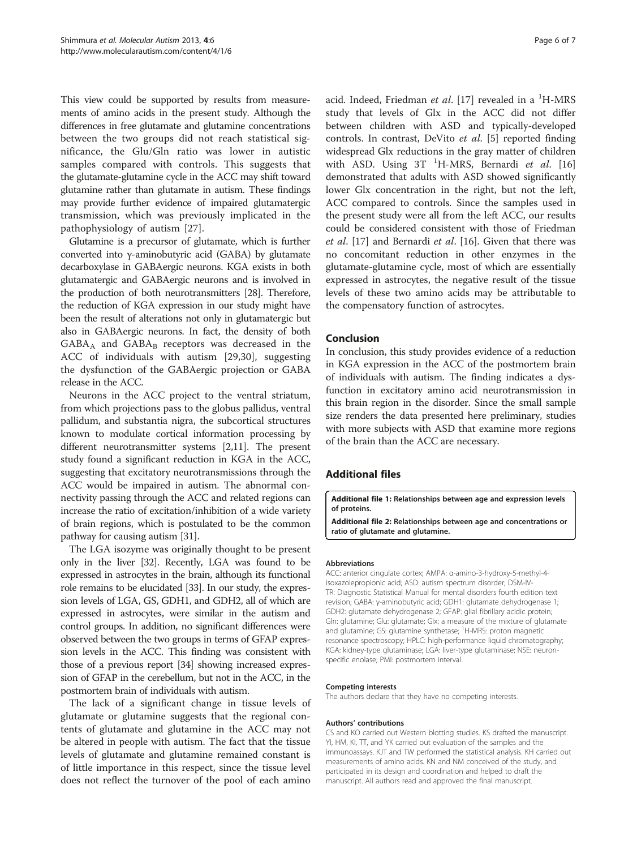<span id="page-5-0"></span>This view could be supported by results from measurements of amino acids in the present study. Although the differences in free glutamate and glutamine concentrations between the two groups did not reach statistical significance, the Glu/Gln ratio was lower in autistic samples compared with controls. This suggests that the glutamate-glutamine cycle in the ACC may shift toward glutamine rather than glutamate in autism. These findings may provide further evidence of impaired glutamatergic transmission, which was previously implicated in the pathophysiology of autism [[27\]](#page-6-0).

Glutamine is a precursor of glutamate, which is further converted into γ-aminobutyric acid (GABA) by glutamate decarboxylase in GABAergic neurons. KGA exists in both glutamatergic and GABAergic neurons and is involved in the production of both neurotransmitters [\[28\]](#page-6-0). Therefore, the reduction of KGA expression in our study might have been the result of alterations not only in glutamatergic but also in GABAergic neurons. In fact, the density of both  $GABA_A$  and  $GABA_B$  receptors was decreased in the ACC of individuals with autism [[29,30](#page-6-0)], suggesting the dysfunction of the GABAergic projection or GABA release in the ACC.

Neurons in the ACC project to the ventral striatum, from which projections pass to the globus pallidus, ventral pallidum, and substantia nigra, the subcortical structures known to modulate cortical information processing by different neurotransmitter systems [\[2,11\]](#page-6-0). The present study found a significant reduction in KGA in the ACC, suggesting that excitatory neurotransmissions through the ACC would be impaired in autism. The abnormal connectivity passing through the ACC and related regions can increase the ratio of excitation/inhibition of a wide variety of brain regions, which is postulated to be the common pathway for causing autism [[31](#page-6-0)].

The LGA isozyme was originally thought to be present only in the liver [[32](#page-6-0)]. Recently, LGA was found to be expressed in astrocytes in the brain, although its functional role remains to be elucidated [\[33\]](#page-6-0). In our study, the expression levels of LGA, GS, GDH1, and GDH2, all of which are expressed in astrocytes, were similar in the autism and control groups. In addition, no significant differences were observed between the two groups in terms of GFAP expression levels in the ACC. This finding was consistent with those of a previous report [[34](#page-6-0)] showing increased expression of GFAP in the cerebellum, but not in the ACC, in the postmortem brain of individuals with autism.

The lack of a significant change in tissue levels of glutamate or glutamine suggests that the regional contents of glutamate and glutamine in the ACC may not be altered in people with autism. The fact that the tissue levels of glutamate and glutamine remained constant is of little importance in this respect, since the tissue level does not reflect the turnover of the pool of each amino

acid. Indeed, Friedman *et al.* [[17](#page-6-0)] revealed in a <sup>1</sup>H-MRS study, that levels of Gly in the ACC did not differ study that levels of Glx in the ACC did not differ between children with ASD and typically-developed controls. In contrast, DeVito et al. [[5](#page-6-0)] reported finding widespread Glx reductions in the gray matter of children with ASD. Using  $3T^{-1}H-MRS$ , Bernardi *et al.* [[16](#page-6-0)] demonstrated that adults with ASD showed significantly demonstrated that adults with ASD showed significantly lower Glx concentration in the right, but not the left, ACC compared to controls. Since the samples used in the present study were all from the left ACC, our results could be considered consistent with those of Friedman et al. [\[17](#page-6-0)] and Bernardi et al. [\[16](#page-6-0)]. Given that there was no concomitant reduction in other enzymes in the glutamate-glutamine cycle, most of which are essentially expressed in astrocytes, the negative result of the tissue levels of these two amino acids may be attributable to the compensatory function of astrocytes.

## Conclusion

In conclusion, this study provides evidence of a reduction in KGA expression in the ACC of the postmortem brain of individuals with autism. The finding indicates a dysfunction in excitatory amino acid neurotransmission in this brain region in the disorder. Since the small sample size renders the data presented here preliminary, studies with more subjects with ASD that examine more regions of the brain than the ACC are necessary.

# Additional files

[Additional file 1:](http://www.biomedcentral.com/content/supplementary/2040-2392-4-6-S1.pdf) Relationships between age and expression levels of proteins.

[Additional file 2:](http://www.biomedcentral.com/content/supplementary/2040-2392-4-6-S2.pdf) Relationships between age and concentrations or ratio of glutamate and glutamine.

## Abbreviations

ACC: anterior cingulate cortex; AMPA: α-amino-3-hydroxy-5-methyl-4 isoxazolepropionic acid; ASD: autism spectrum disorder; DSM-IV-TR: Diagnostic Statistical Manual for mental disorders fourth edition text revision; GABA: γ-aminobutyric acid; GDH1: glutamate dehydrogenase 1; GDH2: glutamate dehydrogenase 2; GFAP: glial fibrillary acidic protein; Gln: glutamine; Glu: glutamate; Glx: a measure of the mixture of glutamate and glutamine; GS: glutamine synthetase; <sup>1</sup>H-MRS: proton magnetic resonance spectroscopy; HPLC: high-performance liquid chromatography; KGA: kidney-type glutaminase; LGA: liver-type glutaminase; NSE: neuronspecific enolase; PMI: postmortem interval.

## Competing interests

The authors declare that they have no competing interests.

#### Authors' contributions

CS and KO carried out Western blotting studies. KS drafted the manuscript. YI, HM, KI, TT, and YK carried out evaluation of the samples and the immunoassays. KJT and TW performed the statistical analysis. KH carried out measurements of amino acids. KN and NM conceived of the study, and participated in its design and coordination and helped to draft the manuscript. All authors read and approved the final manuscript.